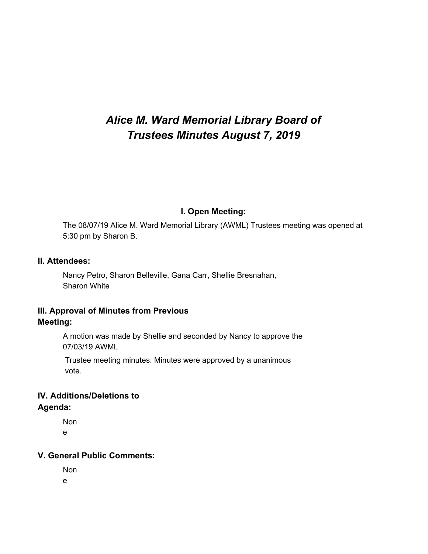# *Alice M. Ward Memorial Library Board of Trustees Minutes August 7, 2019*

# **I. Open Meeting:**

The 08/07/19 Alice M. Ward Memorial Library (AWML) Trustees meeting was opened at 5:30 pm by Sharon B.

#### **II. Attendees:**

Nancy Petro, Sharon Belleville, Gana Carr, Shellie Bresnahan, Sharon White

# **III. Approval of Minutes from Previous Meeting:**

A motion was made by Shellie and seconded by Nancy to approve the 07/03/19 AWML

Trustee meeting minutes. Minutes were approved by a unanimous vote.

# **IV. Additions/Deletions to Agenda:**

Non e

## **V. General Public Comments:**

Non e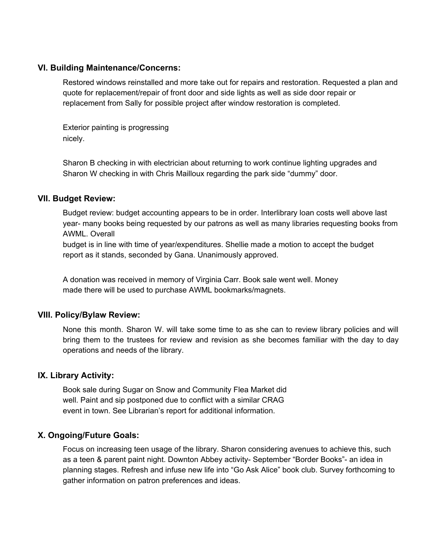#### **VI. Building Maintenance/Concerns:**

Restored windows reinstalled and more take out for repairs and restoration. Requested a plan and quote for replacement/repair of front door and side lights as well as side door repair or replacement from Sally for possible project after window restoration is completed.

Exterior painting is progressing nicely.

Sharon B checking in with electrician about returning to work continue lighting upgrades and Sharon W checking in with Chris Mailloux regarding the park side "dummy" door.

#### **VII. Budget Review:**

Budget review: budget accounting appears to be in order. Interlibrary loan costs well above last year- many books being requested by our patrons as well as many libraries requesting books from AWML. Overall

budget is in line with time of year/expenditures. Shellie made a motion to accept the budget report as it stands, seconded by Gana. Unanimously approved.

A donation was received in memory of Virginia Carr. Book sale went well. Money made there will be used to purchase AWML bookmarks/magnets.

## **VIII. Policy/Bylaw Review:**

None this month. Sharon W. will take some time to as she can to review library policies and will bring them to the trustees for review and revision as she becomes familiar with the day to day operations and needs of the library.

## **IX. Library Activity:**

Book sale during Sugar on Snow and Community Flea Market did well. Paint and sip postponed due to conflict with a similar CRAG event in town. See Librarian's report for additional information.

## **X. Ongoing/Future Goals:**

Focus on increasing teen usage of the library. Sharon considering avenues to achieve this, such as a teen & parent paint night. Downton Abbey activity- September "Border Books"- an idea in planning stages. Refresh and infuse new life into "Go Ask Alice" book club. Survey forthcoming to gather information on patron preferences and ideas.